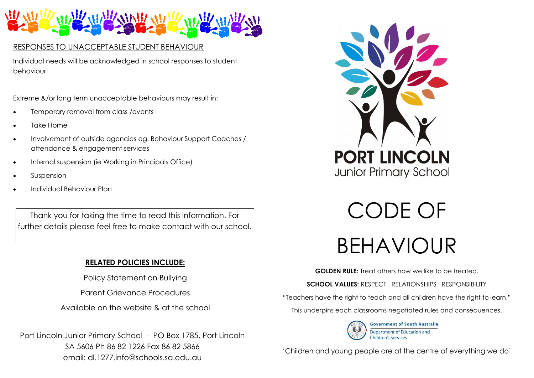

## RESPONSES TO UNACCEPTABLE STUDENT BEHAVIOUR

Individual needs will be acknowledged in school responses to student behaviour.

Extreme &/or long term unacceptable behaviours may result in:

- Temporary removal from class /events
- Take Home
- Involvement of outside agencies eg. Behaviour Support Coaches / attendance & engagement services
- Internal suspension (ie Working in Principals Office)
- Suspension
- Individual Behaviour Plan

Thank you for taking the time to read this information. For further details please feel free to make contact with our school.

# **RELATED POLICIES INCLUDE:**

Policy Statement on Bullying

Parent Grievance Procedures

Available on the website & at the school

Port Lincoln Junior Primary School - PO Box 1785, Port Lincoln SA 5606 Ph 86 82 1226 Fax 86 82 5866 email: dl.1277.info@schools.sa.edu.au



CODE OF BEHAVIOUR

**GOLDEN RULE:** Treat others how we like to be treated.

**SCHOOL VALUES:** RESPECT RELATIONSHIPS RESPONSIBILITY

"Teachers have the right to teach and all children have the right to learn."

This underpins each classrooms negotiated rules and consequences.



'Children and young people are at the centre of everything we do'